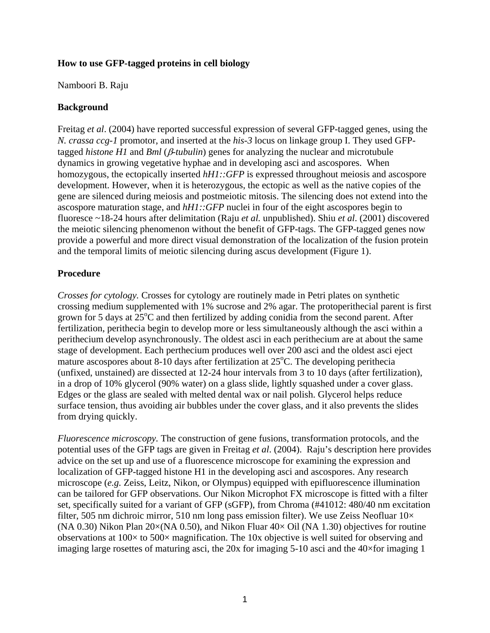## **How to use GFP-tagged proteins in cell biology**

Namboori B. Raju

## **Background**

Freitag *et al*. (2004) have reported successful expression of several GFP-tagged genes, using the *N. crassa ccg-1* promotor, and inserted at the *his-3* locus on linkage group I. They used GFPtagged *histone H1* and *Bml* (β*-tubulin*) genes for analyzing the nuclear and microtubule dynamics in growing vegetative hyphae and in developing asci and ascospores. When homozygous, the ectopically inserted  $hH1::GFP$  is expressed throughout meiosis and ascospore development. However, when it is heterozygous, the ectopic as well as the native copies of the gene are silenced during meiosis and postmeiotic mitosis. The silencing does not extend into the ascospore maturation stage, and *hH1::GFP* nuclei in four of the eight ascospores begin to fluoresce ~18-24 hours after delimitation (Raju *et al.* unpublished). Shiu *et al*. (2001) discovered the meiotic silencing phenomenon without the benefit of GFP-tags. The GFP-tagged genes now provide a powerful and more direct visual demonstration of the localization of the fusion protein and the temporal limits of meiotic silencing during ascus development (Figure 1).

## **Procedure**

*Crosses for cytology.* Crosses for cytology are routinely made in Petri plates on synthetic crossing medium supplemented with 1% sucrose and 2% agar. The protoperithecial parent is first grown for 5 days at  $25^{\circ}$ C and then fertilized by adding conidia from the second parent. After fertilization, perithecia begin to develop more or less simultaneously although the asci within a perithecium develop asynchronously. The oldest asci in each perithecium are at about the same stage of development. Each perthecium produces well over 200 asci and the oldest asci eject mature ascospores about 8-10 days after fertilization at  $25^{\circ}$ C. The developing perithecia (unfixed, unstained) are dissected at 12-24 hour intervals from 3 to 10 days (after fertilization), in a drop of 10% glycerol (90% water) on a glass slide, lightly squashed under a cover glass. Edges or the glass are sealed with melted dental wax or nail polish. Glycerol helps reduce surface tension, thus avoiding air bubbles under the cover glass, and it also prevents the slides from drying quickly.

*Fluorescence microscopy.* The construction of gene fusions, transformation protocols, and the potential uses of the GFP tags are given in Freitag *et al*. (2004). Raju's description here provides advice on the set up and use of a fluorescence microscope for examining the expression and localization of GFP-tagged histone H1 in the developing asci and ascospores. Any research microscope (*e.g.* Zeiss, Leitz, Nikon, or Olympus) equipped with epifluorescence illumination can be tailored for GFP observations. Our Nikon Microphot FX microscope is fitted with a filter set, specifically suited for a variant of GFP (sGFP), from Chroma (#41012: 480/40 nm excitation filter, 505 nm dichroic mirror, 510 nm long pass emission filter). We use Zeiss Neofluar  $10\times$ (NA 0.30) Nikon Plan  $20\times$ (NA 0.50), and Nikon Fluar  $40\times$  Oil (NA 1.30) objectives for routine observations at  $100 \times$  to  $500 \times$  magnification. The 10x objective is well suited for observing and imaging large rosettes of maturing asci, the 20x for imaging 5-10 asci and the 40×for imaging 1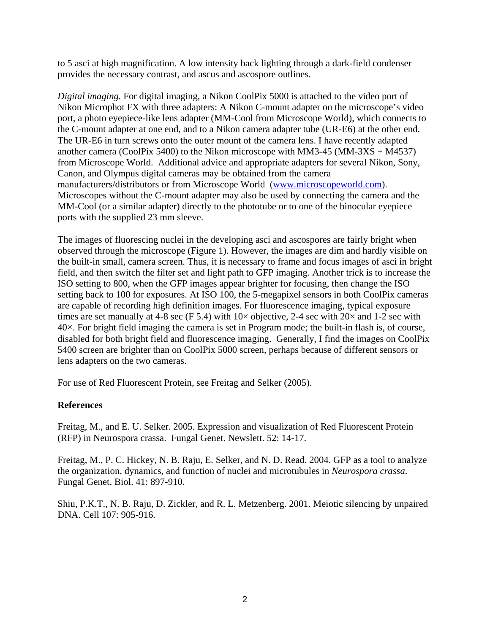to 5 asci at high magnification. A low intensity back lighting through a dark-field condenser provides the necessary contrast, and ascus and ascospore outlines.

*Digital imaging.* For digital imaging, a Nikon CoolPix 5000 is attached to the video port of Nikon Microphot FX with three adapters: A Nikon C-mount adapter on the microscope's video port, a photo eyepiece-like lens adapter (MM-Cool from Microscope World), which connects to the C-mount adapter at one end, and to a Nikon camera adapter tube (UR-E6) at the other end. The UR-E6 in turn screws onto the outer mount of the camera lens. I have recently adapted another camera (CoolPix 5400) to the Nikon microscope with MM3-45 (MM-3XS + M4537) from Microscope World. Additional advice and appropriate adapters for several Nikon, Sony, Canon, and Olympus digital cameras may be obtained from the camera manufacturers/distributors or from Microscope World [\(www.microscopeworld.com](http://www.microscopeworld.com/)). Microscopes without the C-mount adapter may also be used by connecting the camera and the MM-Cool (or a similar adapter) directly to the phototube or to one of the binocular eyepiece ports with the supplied 23 mm sleeve.

The images of fluorescing nuclei in the developing asci and ascospores are fairly bright when observed through the microscope (Figure 1). However, the images are dim and hardly visible on the built-in small, camera screen. Thus, it is necessary to frame and focus images of asci in bright field, and then switch the filter set and light path to GFP imaging. Another trick is to increase the ISO setting to 800, when the GFP images appear brighter for focusing, then change the ISO setting back to 100 for exposures. At ISO 100, the 5-megapixel sensors in both CoolPix cameras are capable of recording high definition images. For fluorescence imaging, typical exposure times are set manually at 4-8 sec (F 5.4) with  $10\times$  objective, 2-4 sec with  $20\times$  and 1-2 sec with 40×. For bright field imaging the camera is set in Program mode; the built-in flash is, of course, disabled for both bright field and fluorescence imaging. Generally, I find the images on CoolPix 5400 screen are brighter than on CoolPix 5000 screen, perhaps because of different sensors or lens adapters on the two cameras.

For use of Red Fluorescent Protein, see Freitag and Selker (2005).

## **References**

Freitag, M., and E. U. Selker. 2005. Expression and visualization of Red Fluorescent Protein (RFP) in Neurospora crassa. Fungal Genet. Newslett. 52: 14-17.

Freitag, M., P. C. Hickey, N. B. Raju, E. Selker, and N. D. Read. 2004. GFP as a tool to analyze the organization, dynamics, and function of nuclei and microtubules in *Neurospora crassa*. Fungal Genet. Biol. 41: 897-910.

Shiu, P.K.T., N. B. Raju, D. Zickler, and R. L. Metzenberg. 2001. Meiotic silencing by unpaired DNA. Cell 107: 905-916.